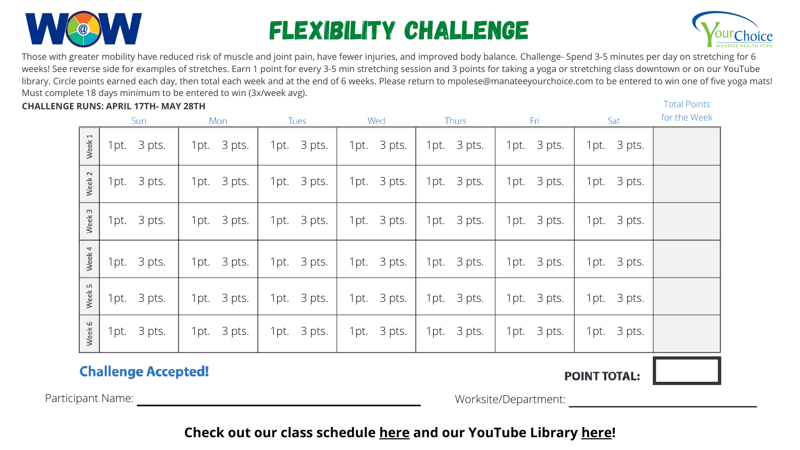Worksite/Department:

Those with greater mobility have reduced risk of muscle and joint pain, have fewer injuries, and improved body balance. Challenge- Spend 3-5 minutes per day on stretching for 6 weeks! See reverse side for examples of stretches. Earn 1 point for every 3-5 min stretching session and 3 points for taking a yoga or stretching class downtown or on our YouTube library. Circle points earned each day, then total each week and at the end of 6 weeks. Please return to [mpolese@manateeyourchoice.com](mailto:mpolese@manateeyourchoice.com) to be entered to win one of five yoga mats! Must complete 18 days minimum to be entered to win (3x/week avg).



# Flexibility Challenge

Participant Name:

| <b>CHALLENGE RUNS: APRIL 17TH- MAY 28TH</b> |                        |                |                |                |             |                |             |             | <b>Total Points</b> |
|---------------------------------------------|------------------------|----------------|----------------|----------------|-------------|----------------|-------------|-------------|---------------------|
|                                             |                        | Sun            | Mon            | Tues           | Wed         | Thurs          | Fri         | Sat         | for the Week        |
|                                             | $\overline{ }$<br>Week | 3 pts.<br>1pt. | 1pt. 3 pts.    | 1pt. 3 pts.    | 1pt. 3 pts. | 1pt. 3 pts.    | 1pt. 3 pts. | 1pt. 3 pts. |                     |
|                                             | Week 2                 | 3 pts.<br>1pt. | 3 pts.<br>1pt. | 3 pts.<br>1pt. | 1pt. 3 pts. | 1pt. 3 pts.    | 1pt. 3 pts. | 1pt. 3 pts. |                     |
|                                             | $\mathsf{L}$<br>Week   | 3 pts.<br>1pt. | 3 pts.<br>1pt. | 1pt. 3 pts.    | 1pt. 3 pts. | 1pt. 3 pts.    | 1pt. 3 pts. | 1pt. 3 pts. |                     |
|                                             | 4<br>Week              | 1pt. 3 pts.    | 3 pts.<br>1pt. | 1pt. 3 pts.    | 1pt. 3 pts. | 1pt. 3 pts.    | 1pt. 3 pts. | 1pt. 3 pts. |                     |
|                                             | 5<br>Week              | 1pt. 3 pts.    | 1pt. 3 pts.    | 1pt. 3 pts.    | 1pt. 3 pts. | 1pt. 3 pts.    | 1pt. 3 pts. | 1pt. 3 pts. |                     |
|                                             | 9<br>Week              | 3 pts.<br>1pt. | 3 pts.<br>1pt. | 1pt. 3 pts.    | 1pt. 3 pts. | 3 pts.<br>1pt. | 1pt. 3 pts. | 1pt. 3 pts. |                     |
|                                             |                        |                |                |                |             |                |             |             |                     |

### **Challenge Accepted!**

## **Check out our class schedule [here](https://manateeyourchoice.com/wellbeing-programs/fitness/group-fitness-classes) and our YouTube Library [here!](https://www.youtube.com/channel/UCdyM6if2fKKHalYk_XoByPg)**





#### **POINT TOTAL:**